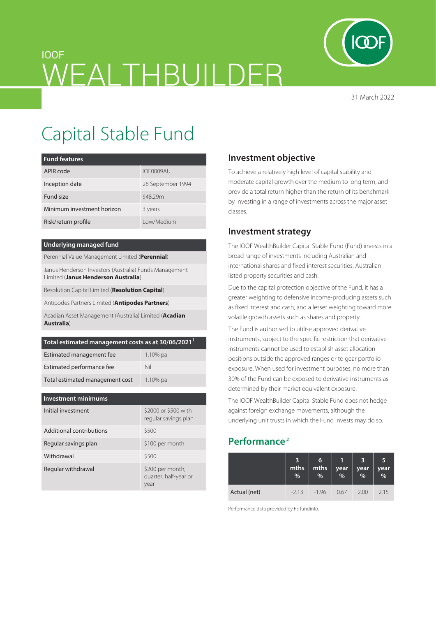

31 March 2022

# IOOF WEALTHBUILDER

# Capital Stable Fund

| <b>Fund features</b>       |                   |  |  |  |  |
|----------------------------|-------------------|--|--|--|--|
| APIR code                  | IOF0009AU         |  |  |  |  |
| Inception date             | 28 September 1994 |  |  |  |  |
| Fund size                  | \$48.29m          |  |  |  |  |
| Minimum investment horizon | 3 years           |  |  |  |  |
| Risk/return profile        | Low/Medium        |  |  |  |  |

#### **Underlying managed fund**

Perennial Value Management Limited (**Perennial**)

Janus Henderson Investors (Australia) Funds Management Limited (**Janus Henderson Australia**)

Resolution Capital Limited (**Resolution Capital**)

Antipodes Partners Limited (**Antipodes Partners**)

Acadian Asset Management (Australia) Limited (**Acadian Australia**)

| Total estimated management costs as at 30/06/2021 <sup>1</sup> |             |  |  |  |
|----------------------------------------------------------------|-------------|--|--|--|
| Estimated management fee                                       | $1.10\%$ pa |  |  |  |
| Estimated performance fee                                      | Nil         |  |  |  |
| Total estimated management cost                                | $1.10\%$ pa |  |  |  |

| <b>Investment minimums</b> |                                                   |  |  |  |  |
|----------------------------|---------------------------------------------------|--|--|--|--|
| Initial investment         | \$2000 or \$500 with<br>regular savings plan      |  |  |  |  |
| Additional contributions   | \$500                                             |  |  |  |  |
| Regular savings plan       | \$100 per month                                   |  |  |  |  |
| Withdrawal                 | \$500                                             |  |  |  |  |
| Regular withdrawal         | \$200 per month,<br>quarter, half-year or<br>year |  |  |  |  |

## **Investment objective**

To achieve a relatively high level of capital stability and moderate capital growth over the medium to long term, and provide a total return higher than the return of its benchmark by investing in a range of investments across the major asset classes.

### **Investment strategy**

The IOOF WealthBuilder Capital Stable Fund (Fund) invests in a broad range of investments including Australian and international shares and fixed interest securities, Australian listed property securities and cash.

Due to the capital protection objective of the Fund, it has a greater weighting to defensive income-producing assets such as fixed interest and cash, and a lesser weighting toward more volatile growth assets such as shares and property.

The Fund is authorised to utilise approved derivative instruments, subject to the specific restriction that derivative instruments cannot be used to establish asset allocation positions outside the approved ranges or to gear portfolio exposure. When used for investment purposes, no more than 30% of the Fund can be exposed to derivative instruments as determined by their market equivalent exposure.

The IOOF WealthBuilder Capital Stable Fund does not hedge against foreign exchange movements, although the underlying unit trusts in which the Fund invests may do so.

# **Performance 2**

|              | mths<br>$\%$ | 6<br>mths<br>% | year<br>$\frac{0}{0}$ | year<br>% | 5<br>year<br>$\overline{\frac{9}{6}}$ |
|--------------|--------------|----------------|-----------------------|-----------|---------------------------------------|
| Actual (net) | $-2.13$      | $-196$         | 0.67                  | 2.00      | 2.15                                  |

Performance data provided by FE fundinfo.